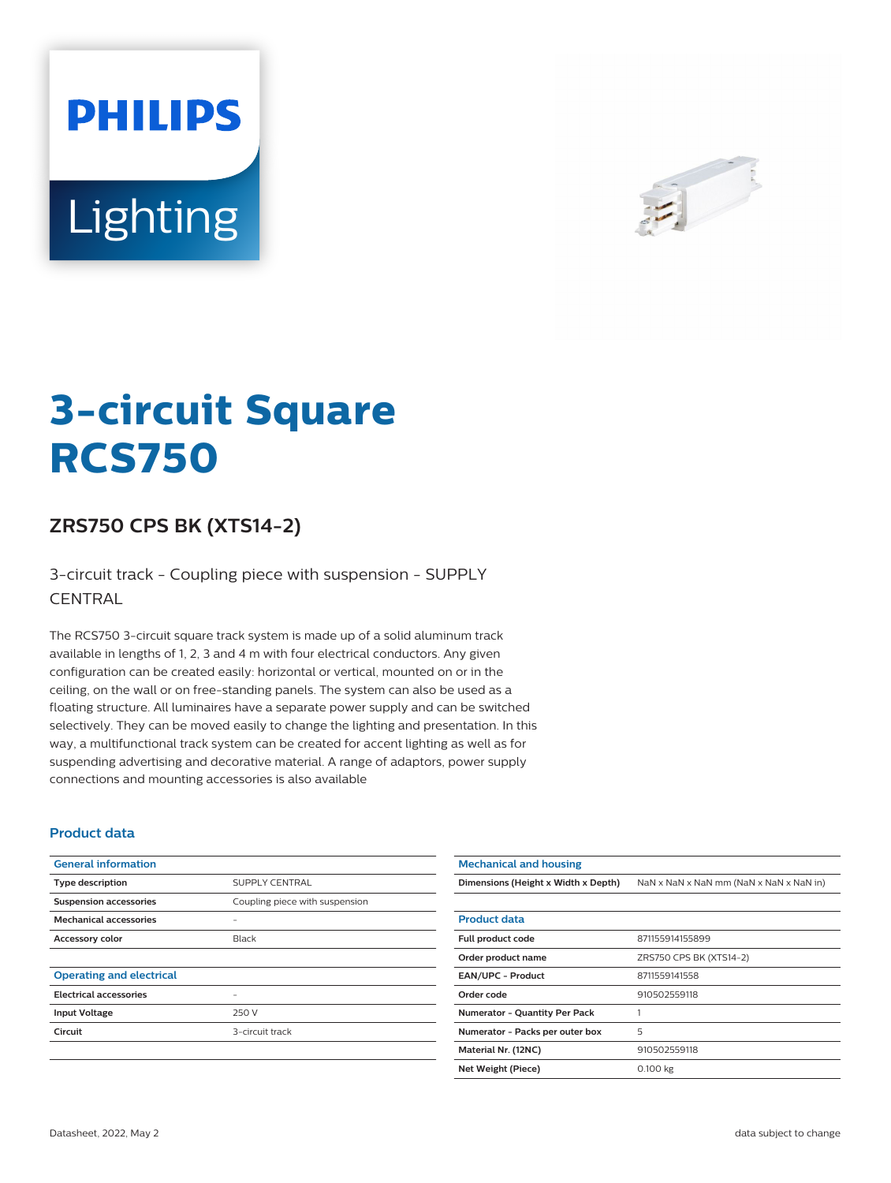# **PHILIPS** Lighting



# **3-circuit Square RCS750**

## **ZRS750 CPS BK (XTS14-2)**

3-circuit track - Coupling piece with suspension - SUPPLY **CENTRAL** 

The RCS750 3-circuit square track system is made up of a solid aluminum track available in lengths of 1, 2, 3 and 4 m with four electrical conductors. Any given configuration can be created easily: horizontal or vertical, mounted on or in the ceiling, on the wall or on free-standing panels. The system can also be used as a floating structure. All luminaires have a separate power supply and can be switched selectively. They can be moved easily to change the lighting and presentation. In this way, a multifunctional track system can be created for accent lighting as well as for suspending advertising and decorative material. A range of adaptors, power supply connections and mounting accessories is also available

#### **Product data**

| <b>General information</b>      |                                |
|---------------------------------|--------------------------------|
| <b>Type description</b>         | <b>SUPPLY CENTRAL</b>          |
| <b>Suspension accessories</b>   | Coupling piece with suspension |
| <b>Mechanical accessories</b>   |                                |
| <b>Accessory color</b>          | Black                          |
|                                 |                                |
| <b>Operating and electrical</b> |                                |
| <b>Electrical accessories</b>   |                                |
| <b>Input Voltage</b>            | 250 V                          |
| Circuit                         | 3-circuit track                |
|                                 |                                |
|                                 |                                |

| NaN x NaN x NaN mm (NaN x NaN x NaN in)<br>Dimensions (Height x Width x Depth)<br><b>Product data</b><br>Full product code<br>871155914155899<br>ZRS750 CPS BK (XTS14-2)<br>Order product name<br><b>EAN/UPC - Product</b><br>8711559141558<br>Order code<br>910502559118<br><b>Numerator - Quantity Per Pack</b><br>1<br>5<br>Numerator - Packs per outer box<br>910502559118<br>Material Nr. (12NC) | <b>Mechanical and housing</b> |  |  |
|-------------------------------------------------------------------------------------------------------------------------------------------------------------------------------------------------------------------------------------------------------------------------------------------------------------------------------------------------------------------------------------------------------|-------------------------------|--|--|
|                                                                                                                                                                                                                                                                                                                                                                                                       |                               |  |  |
|                                                                                                                                                                                                                                                                                                                                                                                                       |                               |  |  |
|                                                                                                                                                                                                                                                                                                                                                                                                       |                               |  |  |
|                                                                                                                                                                                                                                                                                                                                                                                                       |                               |  |  |
|                                                                                                                                                                                                                                                                                                                                                                                                       |                               |  |  |
|                                                                                                                                                                                                                                                                                                                                                                                                       |                               |  |  |
|                                                                                                                                                                                                                                                                                                                                                                                                       |                               |  |  |
|                                                                                                                                                                                                                                                                                                                                                                                                       |                               |  |  |
|                                                                                                                                                                                                                                                                                                                                                                                                       |                               |  |  |
|                                                                                                                                                                                                                                                                                                                                                                                                       |                               |  |  |
| 0.100 kg<br>Net Weight (Piece)                                                                                                                                                                                                                                                                                                                                                                        |                               |  |  |